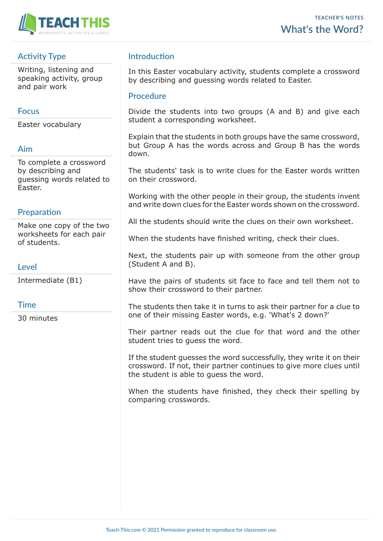

## **Activity Type**

Writing, listening and speaking activity, group and pair work

#### **Focus**

Easter vocabulary

### **Aim**

To complete a crossword by describing and guessing words related to Easter.

## **Preparation**

Make one copy of the two worksheets for each pair of students.

## **Level**

Intermediate (B1)

#### **Time**

30 minutes

# **Introduction**

In this Easter vocabulary activity, students complete a crossword by describing and guessing words related to Easter.

#### **Procedure**

Divide the students into two groups (A and B) and give each student a corresponding worksheet.

Explain that the students in both groups have the same crossword, but Group A has the words across and Group B has the words down.

The students' task is to write clues for the Easter words written on their crossword.

Working with the other people in their group, the students invent and write down clues for the Easter words shown on the crossword.

All the students should write the clues on their own worksheet.

When the students have finished writing, check their clues.

Next, the students pair up with someone from the other group (Student A and B).

Have the pairs of students sit face to face and tell them not to show their crossword to their partner.

The students then take it in turns to ask their partner for a clue to one of their missing Easter words, e.g. 'What's 2 down?'

Their partner reads out the clue for that word and the other student tries to guess the word.

If the student guesses the word successfully, they write it on their crossword. If not, their partner continues to give more clues until the student is able to guess the word.

When the students have finished, they check their spelling by comparing crosswords.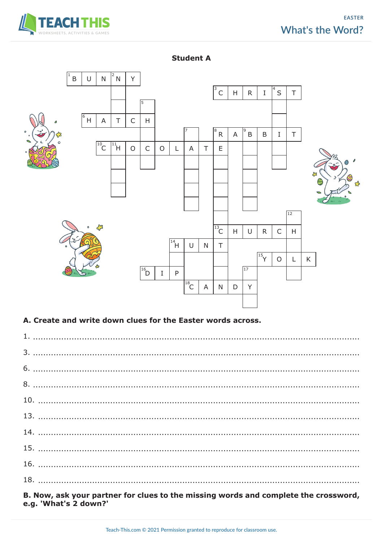





#### A. Create and write down clues for the Easter words across.

B. Now, ask your partner for clues to the missing words and complete the crossword, e.g. 'What's 2 down?'